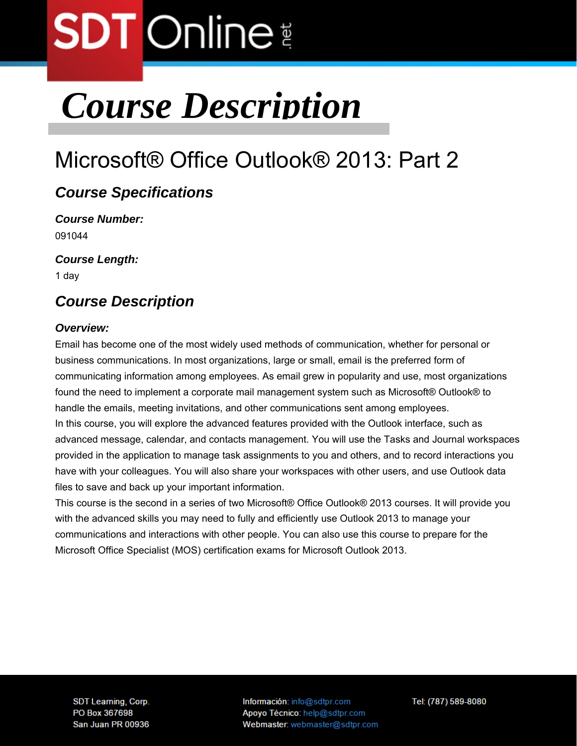### *Course Description*

### Microsoft® Office Outlook® 2013: Part 2

### *Course Specifications*

*Course Number:*  091044

*Course Length:* 

1 day

### *Course Description*

### *Overview:*

Email has become one of the most widely used methods of communication, whether for personal or business communications. In most organizations, large or small, email is the preferred form of communicating information among employees. As email grew in popularity and use, most organizations found the need to implement a corporate mail management system such as Microsoft® Outlook® to handle the emails, meeting invitations, and other communications sent among employees. In this course, you will explore the advanced features provided with the Outlook interface, such as advanced message, calendar, and contacts management. You will use the Tasks and Journal workspaces provided in the application to manage task assignments to you and others, and to record interactions you have with your colleagues. You will also share your workspaces with other users, and use Outlook data files to save and back up your important information.

This course is the second in a series of two Microsoft® Office Outlook® 2013 courses. It will provide you with the advanced skills you may need to fully and efficiently use Outlook 2013 to manage your communications and interactions with other people. You can also use this course to prepare for the Microsoft Office Specialist (MOS) certification exams for Microsoft Outlook 2013.

**SDT Learning, Corp.** PO Box 367698 San Juan PR 00936 Información: info@sdtpr.com Apoyo Técnico: help@sdtpr.com Webmaster: webmaster@sdtpr.com Tel: (787) 589-8080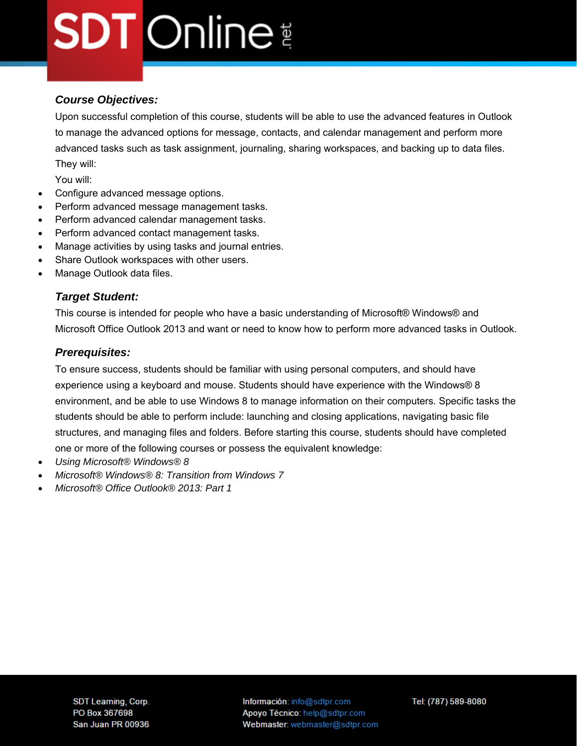### *Course Objectives:*

Upon successful completion of this course, students will be able to use the advanced features in Outlook to manage the advanced options for message, contacts, and calendar management and perform more advanced tasks such as task assignment, journaling, sharing workspaces, and backing up to data files. They will:

You will:

- Configure advanced message options.
- Perform advanced message management tasks.
- Perform advanced calendar management tasks.
- Perform advanced contact management tasks.
- Manage activities by using tasks and journal entries.
- Share Outlook workspaces with other users.
- Manage Outlook data files.

### *Target Student:*

This course is intended for people who have a basic understanding of Microsoft® Windows® and Microsoft Office Outlook 2013 and want or need to know how to perform more advanced tasks in Outlook.

### *Prerequisites:*

To ensure success, students should be familiar with using personal computers, and should have experience using a keyboard and mouse. Students should have experience with the Windows® 8 environment, and be able to use Windows 8 to manage information on their computers. Specific tasks the students should be able to perform include: launching and closing applications, navigating basic file structures, and managing files and folders. Before starting this course, students should have completed

one or more of the following courses or possess the equivalent knowledge:

- *Using Microsoft® Windows® 8*
- *Microsoft® Windows® 8: Transition from Windows 7*
- *Microsoft® Office Outlook® 2013: Part 1*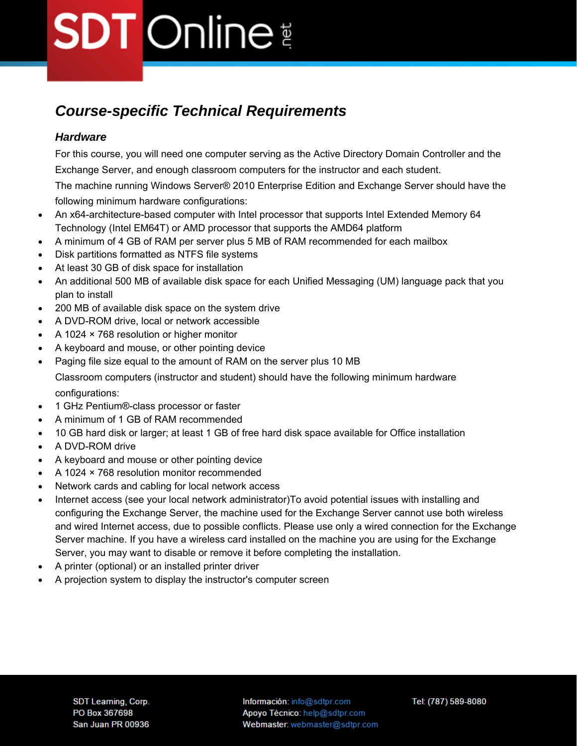### *Course-specific Technical Requirements*

### *Hardware*

For this course, you will need one computer serving as the Active Directory Domain Controller and the Exchange Server, and enough classroom computers for the instructor and each student.

The machine running Windows Server® 2010 Enterprise Edition and Exchange Server should have the following minimum hardware configurations:

- An x64-architecture-based computer with Intel processor that supports Intel Extended Memory 64 Technology (Intel EM64T) or AMD processor that supports the AMD64 platform
- A minimum of 4 GB of RAM per server plus 5 MB of RAM recommended for each mailbox
- Disk partitions formatted as NTFS file systems
- At least 30 GB of disk space for installation
- An additional 500 MB of available disk space for each Unified Messaging (UM) language pack that you plan to install
- 200 MB of available disk space on the system drive
- A DVD-ROM drive, local or network accessible
- A 1024 × 768 resolution or higher monitor
- A keyboard and mouse, or other pointing device
- Paging file size equal to the amount of RAM on the server plus 10 MB Classroom computers (instructor and student) should have the following minimum hardware configurations:
- 1 GHz Pentium®-class processor or faster
- A minimum of 1 GB of RAM recommended
- 10 GB hard disk or larger; at least 1 GB of free hard disk space available for Office installation
- A DVD-ROM drive
- A keyboard and mouse or other pointing device
- A 1024 × 768 resolution monitor recommended
- Network cards and cabling for local network access
- Internet access (see your local network administrator) To avoid potential issues with installing and configuring the Exchange Server, the machine used for the Exchange Server cannot use both wireless and wired Internet access, due to possible conflicts. Please use only a wired connection for the Exchange Server machine. If you have a wireless card installed on the machine you are using for the Exchange Server, you may want to disable or remove it before completing the installation.
- A printer (optional) or an installed printer driver
- A projection system to display the instructor's computer screen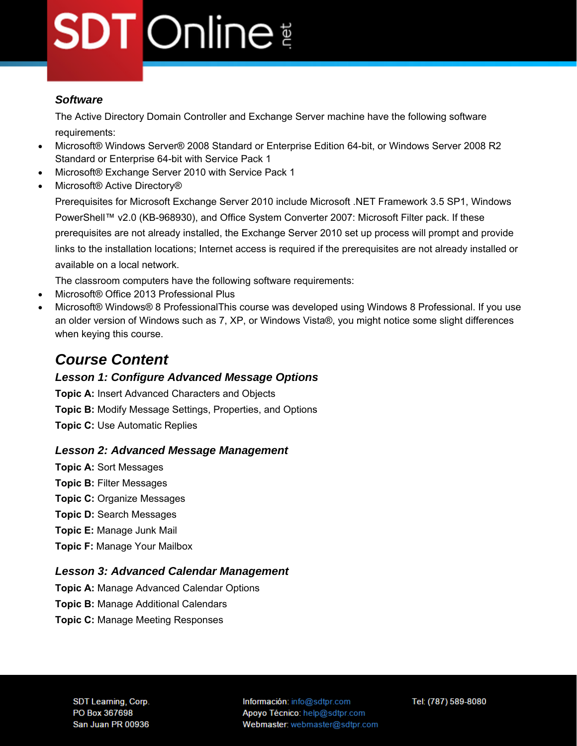### *Software*

The Active Directory Domain Controller and Exchange Server machine have the following software requirements:

- Microsoft® Windows Server® 2008 Standard or Enterprise Edition 64-bit, or Windows Server 2008 R2 Standard or Enterprise 64-bit with Service Pack 1
- Microsoft® Exchange Server 2010 with Service Pack 1
- Microsoft® Active Directory®

Prerequisites for Microsoft Exchange Server 2010 include Microsoft .NET Framework 3.5 SP1, Windows PowerShell™ v2.0 (KB-968930), and Office System Converter 2007: Microsoft Filter pack. If these prerequisites are not already installed, the Exchange Server 2010 set up process will prompt and provide links to the installation locations; Internet access is required if the prerequisites are not already installed or available on a local network.

The classroom computers have the following software requirements:

- Microsoft® Office 2013 Professional Plus
- Microsoft® Windows® 8 ProfessionalThis course was developed using Windows 8 Professional. If you use an older version of Windows such as 7, XP, or Windows Vista®, you might notice some slight differences when keying this course.

### *Course Content*

### *Lesson 1: Configure Advanced Message Options*

**Topic A:** Insert Advanced Characters and Objects **Topic B:** Modify Message Settings, Properties, and Options **Topic C:** Use Automatic Replies

#### *Lesson 2: Advanced Message Management*

**Topic A:** Sort Messages **Topic B:** Filter Messages **Topic C:** Organize Messages **Topic D:** Search Messages **Topic E:** Manage Junk Mail **Topic F:** Manage Your Mailbox

### *Lesson 3: Advanced Calendar Management*

**Topic A:** Manage Advanced Calendar Options

- **Topic B:** Manage Additional Calendars
- **Topic C:** Manage Meeting Responses